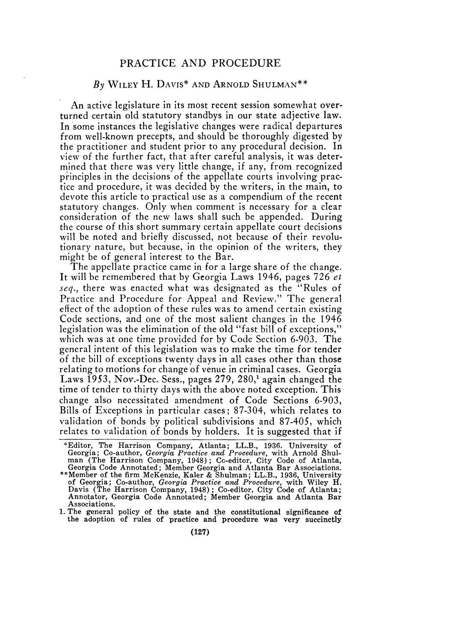## PRACTICE AND PROCEDURE

## *By* WILEY H. DAVIS\* **AND** ARNOLD SHULMAN\*\*

An active legislature in its most recent session somewhat overturned certain old statutory standbys in our state adjective law. In some instances the legislative changes were radical departures from well-known precepts, and should be thoroughly digested by the practitioner and student prior to any procedural decision. In view of the further fact, that after careful analysis, it was determined that there was very little change, if any, from recognized principles in the decisions of the appellate courts involving practice and procedure, it was decided by the writers, in the main, to devote this article to practical use as a compendium of the recent statutory changes. Only when comment is necessary for a clear consideration of the new laws shall such be appended. During the course of this short summary certain appellate court decisions will be noted and briefly discussed, not because of their revolutionary nature, but because, in the opinion of the writers, they might be of general interest to the Bar.

The appellate practice came in for a large share of the change. It will be remembered that by Georgia Laws 1946, pages 726 *et seq.,* there was enacted what was designated as the "Rules of Practice and Procedure for Appeal and Review." The general effect of the adoption of these rules was to amend certain existing Code sections, and one of the most salient changes in the 1946 legislation was the elimination of the old "fast bill of exceptions," which was at one time provided for by Code Section 6-903. The general intent of this legislation was to make the time for tender of the bill of exceptions twenty days in all cases other than those relating to motions for change of venue in criminal cases. Georgia Laws **1953,** Nov.-Dec. Sess., pages 279, 280,' again changed the time of tender to thirty days with the above noted exception. This change also necessitated amendment of Code Sections 6-903, Bills of Exceptions in particular cases; 87-304, which relates to validation of bonds by political subdivisions and 87-405, which relates to validation of bonds by holders. It is suggested that if

<sup>\*</sup>Editor, The Harrison Company, Atlanta; LL.B., 1936. University of Georgia; Co-author, *Georgia Practice and Procedure,* with Arnold Shul- man (The Harrison Company, 1948); Cc-editor, City Code of Atlanta, Georgia Code Annotated; Member Georgia and Atlanta Bar Associations. \*\*Member of the firm McKenzie, Kaler & Shulman; LL.B., 1936, University of Georgia; Co-author, *Georgia Practice and Procedure,* with Wiley H. Davis (The Harrison Company, 1948); Co-editor, City Code of Atlanta; Annotator, Georgia Code Annotated; Member Georgia and Atlanta Bar Associations.

<sup>1.</sup> The general policy of the state and the constitutional significance of the adoption of rules of practice and' procedure was very succinctly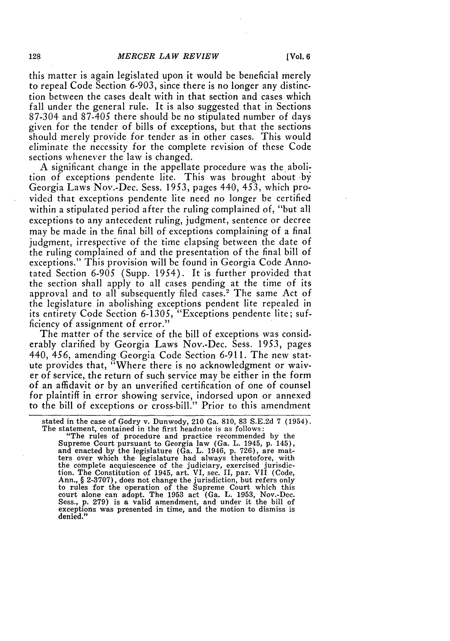this matter is again legislated upon it would be beneficial merely to repeal Code Section 6-903, since there is no longer any distinction between the cases dealt with in that section and cases which fall under the general rule. It is also suggested that in Sections 87-304 and 87-405 there should be no stipulated number of days given for the tender of bills of exceptions, but that the sections should merely provide for tender as in other cases. This would eliminate the necessity for the complete revision of these Code sections whenever the law is changed.

A significant change in the appellate procedure was the abolition of exceptions pendente lite. This was brought about by Georgia Laws Nov.-Dec. Sess. 1953, pages 440, 453, which provided that exceptions pendente lite need no longer be certified within a stipulated period after the ruling complained of, "but all exceptions to any antecedent ruling, judgment, sentence or decree may be made in the final bill of exceptions complaining of a final judgment, irrespective of the time elapsing between the date of the ruling complained of and the presentation of the final bill of exceptions." This provision will be found in Georgia Code Annotated Section 6-905 (Supp. 1954). It is further provided that the section shall apply to all cases pending at the time of its approval and to all subsequently filed cases.<sup>2</sup> The same Act of the legislature in abolishing exceptions pendent lite repealed in its entirety Code Section 6-1305, "Exceptions pendente lite; sufficiency of assignment of error."

The matter of the service of the bill of exceptions was considerably clarified by Georgia Laws Nov.-Dec. Sess. 1953, pages 440, 456, amending Georgia Code Section 6-911. The new statute provides that, "Where there is no acknowledgment or waiver of service, the return of such service may be either in the form of an affidavit or by an unverified certification of one of counsel for plaintiff in error showing service, indorsed upon or annexed to the bill of exceptions or cross-bill." Prior to this amendment

"The rules of procedure and practice recommended by the Supreme Court pursuant to Georgia law (Ga. L. 1945, p. 145), and enacted by the legislature (Ga. L. 1946, p. 726), are mat-ters over which the legislature had always theretofore, with the complete acquiescence of the judiciary, exercised jurisdic-tion. The Constitution of 1945, art. VI, sec. II, par. VII (Code, Ann., § **2-3707),** does not change the jurisdiction, but refers only to rules for the operation of the Supreme Court which this court alone can adopt. The 1953 act (Ga. L. 1953, Nov.-Dec. Sess., p. 279) is a valid amendment, and under it the bill of exceptions was presented in time, and the motion to dismiss is denied."

stated in the case of Godry v. Dunwody, 210 Ga. 810, 83 S.E.2d 7 (1954). The statement, contained in the first headnote is as follows: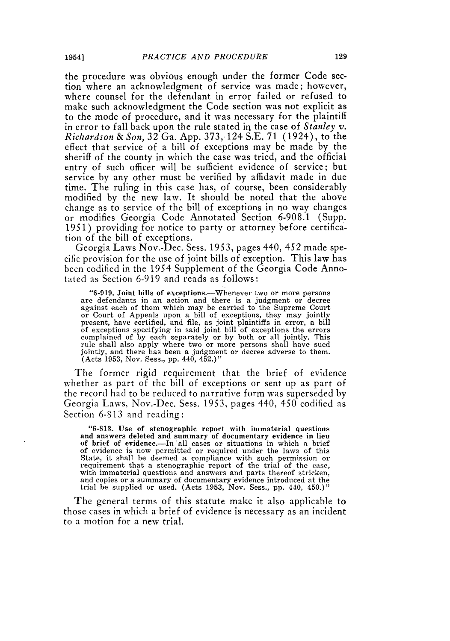the procedure was obvious enough under the former Code section where an acknowledgment of service was made; however, where counsel for the defendant in error failed or refused to make such acknowledgment the Code section was not explicit as to the mode of procedure, and it was necessary for the plaintiff in error to fall back upon the rule stated in the case of *Stanley v. Richardson & Son,* 32 Ga. App. 373, 124 S.E. 71 (1924), to the effect that service of a bill of exceptions may be made by the sheriff of the county in which the case was tried, and the official entry of such officer will be sufficient evidence of service; but service by any other must be verified by affidavit made in due time. The ruling in this case has, of course, been considerably modified by the new law. It should be noted that the above change as to service of the bill of exceptions in no way changes or modifies Georgia Code Annotated Section 6-908.1 (Supp. 1951 ) providing for notice to party or attorney before certification of the bill of exceptions.

Georgia Laws Nov.-Dec. Sess. 1953, pages 440, 452 made specific provision for the use of joint bills of exception. This law has been codified in the 1954 Supplement of the Georgia Code Annotated as Section 6-919 and reads as follows:

"6-919. Joint bills of exceptions.-Whenever two or more persons are defendants in an action and there is a judgment or decree against each of them which may be carried to the Supreme Court or Court of Appeals upon a bill of exceptions, they may jointly present, have certified, and file, as joint plaintiffs in error, a bill of exceptions specifying in said joint bill of exceptions the errors complained of by each separately or by both or all jointly. This rule shall also apply where two or more persons shall have sued jointly, and there has been a judgment or decree adverse to them. (Acts 1953, Nov. Sess., pp. 440, 452.)"

The former rigid requirement that the brief of evidence whether as part of the bill of exceptions or sent up as part of the record had to be reduced to narrative form was superseded by Georgia Laws, Nov.-Dec. Sess. 1953, pages 440, 450 codified as Section 6-813 and reading:

**"6-813. Use of stenographic report with immaterial questions** and answers deleted and summary of documentary evidence in lieu of brief of evidence.-In **all** cases or situations in which a brief of evidence is now permitted or required under the laws of this State, it shall be deemed a compliance with such permission or requirement that a stenographic report of the trial of the case with immaterial questions and answers and parts thereof stricken, and copies or a summary of documentary evidence introduced at the trial be supplied or used. (Acts **1953,** Nov. Sess., **pp.** 440, 450.)"

The general terms of this statute make it also applicable to those cases in which a brief of evidence is necessary as an incident to a motion for a new trial.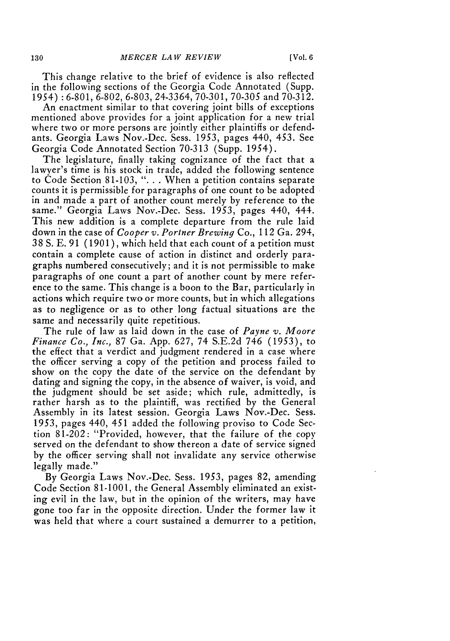[Vol. **6**

This change relative to the brief of evidence is also reflected in the following sections of the Georgia Code Annotated (Supp. 1954) : 6-801, 6-802, 6-803, 24-3364, 70-301, 70-305 and 70-312.

An enactment similar to that covering joint bills of exceptions mentioned above provides for a joint application for a new trial where two or more persons are jointly either plaintiffs or defendants. Georgia Laws Nov.-Dec. Sess. *1953,* pages 440, 453. See Georgia Code Annotated Section 70-313 (Supp. 1954).

The legislature, finally taking cognizance of the fact that a lawyer's time is his stock in trade, added the following sentence to Code Section 81-103, ". . . When a petition contains separate counts it is permissible for paragraphs of one count to be adopted in and made a part of another count merely by reference to the same." Georgia Laws Nov.-Dec. Sess. 1953, pages 440, 444. This new addition is a complete departure from the rule laid down in the case of *Cooper v. Portner Brewing* Co., 112 Ga. 294, 38 **S.** E. 91 (1901), which held that each count of a petition must contain a complete cause of action in distinct and orderly paragraphs numbered consecutively; and it is not permissible to make paragraphs of one count a part of another count by mere reference to the same. This change is a boon to the Bar, particularly in actions which require two or more counts, but in which allegations as to negligence or as to other long factual situations are the same and necessarily quite repetitious.

The rule of law as laid down in the case of *Payne v. Moore Finance Co., Inc.,* 87 Ga. App. 627, 74 S.E.2d 746 (1953), to the effect that a verdict and judgment rendered in a case where the officer serving a copy of the petition and process failed to show on the copy the date of the service on the defendant by dating and signing the copy, in the absence of waiver, is void, and the judgment should be set aside; which rule, admittedly, is rather harsh as to the plaintiff, was rectified by the General Assembly in its latest session. Georgia Laws Nov.-Dec. Sess. 1953, pages 440, 451 added the following proviso to Code Section 81-202: "Provided, however, that the failure of the copy served on the defendant to show thereon a date of service signed by the officer serving shall not invalidate any service otherwise legally made."

By Georgia Laws Nov.-Dec. Sess. 1953, pages 82, amending Code Section 81-1001, the General Assembly eliminated an existing evil in the law, but in the opinion of the writers, may have gone too far in the opposite direction. Under the former law it was held that where a court sustained a demurrer to a petition,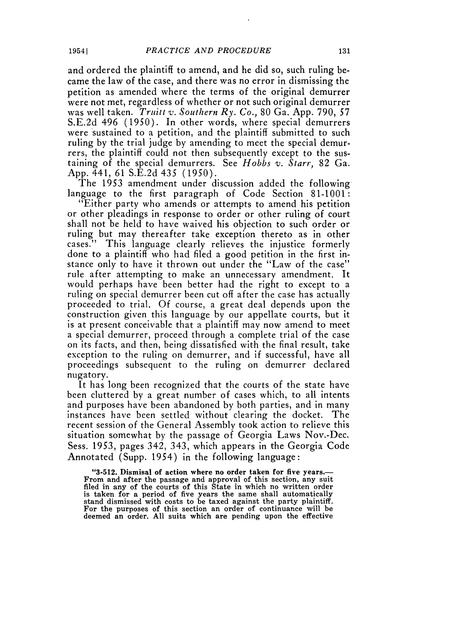and ordered the plaintiff to amend, and he did so, such ruling became the law of the case, and there was no error in dismissing the petition as amended where the terms of the original demurrer were not met, regardless of whether or not such original demurrer was well taken. *Truitt v. Southern Ry. Co.,* 80 Ga. App. 790, 57 S.E.2d 496 (1950). In other words, where special demurrers were sustained to a petition, and the plaintiff submitted to such ruling by the trial judge by amending to meet the special demurrers, the plaintiff could not then subsequently except to the sustaining of the special demurrers. See *Hobbs v. Starr*, 82 Ga. App. 441, 61 S.E.2d 435 (1950).

The 1953 amendment under discussion added the following language to the first paragraph of Code Section 81-1001:

"Either party who amends or attempts to amend his petition or other pleadings in response to order or other ruling of court shall not be held to have waived his objection to such order or ruling but may thereafter take exception thereto as in other cases." This language clearly relieves the injustice formerly done to a plaintiff who had filed a good petition in the first instance only to have it thrown out under the "Law of the case" rule after attempting to make an unnecessary amendment. It would perhaps have been better had the right to except to a ruling on special demurrer been cut off after the case has actually proceeded to trial. Of course, a great deal depends upon the construction given this language by our appellate courts, but it is at present conceivable that a plaintiff may now amend to meet a special demurrer, proceed through a complete trial of the case on its facts, and then, being dissatisfied with the final result, take exception to the ruling on demurrer, and if successful, have all proceedings subsequent to the ruling on demurrer declared nugatory.

It has long been recognized that the courts of the state have been cluttered by a great number of cases which, to all intents and purposes have been abandoned by both parties, and in many instances have been settled without clearing the docket. The recent session of the General Assembly took action to relieve this situation somewhat by the passage of Georgia Laws Nov.-Dec. Sess. 1953, pages 342, 343, which appears in the Georgia Code Annotated (Supp. 1954) in the following language:

**"3-512. Dismisal of action where no order taken for five years.- From and after the passage and approval of this section, any suit filed in any of the courts of** this **State in which no written order is taken for a period of five years the** same shall **automatically stand** dismissed **with costs to be taxed against the party plaintiff. For the purposes of this section an order of continuance will be deemed an order. All suits which are pending upon the effective**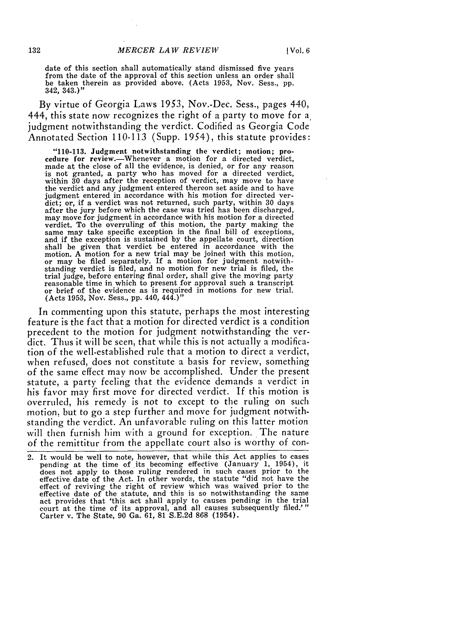date of this section shall automatically stand dismissed five years from the date of the approval of this section unless an order shall be taken therein as provided above. (Acts 1953, Nov. Sess., pp. 342, 343,)"

By virtue of Georgia Laws 1953, Nov.-Dec. Sess., pages 440, 444, this state now recognizes the right of a party to move for a judgment notwithstanding the verdict. Codified as Georgia Code Annotated Section 110-113 (Supp. 1954), this statute provides:

**"110-113.** Judgment notwithstanding the verdict; motion; procedure for review.—Whenever a motion for a directed verdict,<br>made at the close of all the evidence, is denied, or for any reason made at the close of all the evidence, is denied, or for any reason is not granted, a party who has moved for a directed verdict, within **30** days after the reception of verdict, may move to have the verdict and any judgment entered thereon set aside and to have judgment entered in accordance with his motion for directed verdict; or, if a verdict was not returned, such party, within **30** days after the jury before which the case was tried has been discharged, may move for judgment in accordance with his motion **for** a directed verdict. To the overruling of this motion, the party making the same may take specific exception in the final bill of exceptions, and if the exception is sustained **by** the appellate court, direction shall be given that verdict be entered in accordance with the motion. A motion for a new trial may be joined with this motion or may be filed separately. If a motion for judgment notwithstanding verdict is filed, and no motion for new trial is filed, the trial judge, before entering final order, shall give the moving party reasonable time in which to present for approval such a transcript reasonable time in which to present for approval such a transcript or brief of the evidence as is required in motions for new trial. (Acts **1953,** Nov. Sess., **pp.** 440, 444.)"

In commenting upon this statute, perhaps the most interesting feature is the fact that a motion for directed verdict is a condition precedent to the motion for judgment notwithstanding the verdict. Thus it will be seen, that while this is not actually a modification of the well-established rule that a motion to direct a verdict, when refused, does not constitute a basis for review, something of the same effect may now **be** accomplished. Under the present statute, a party feeling that the evidence demands a verdict in his favor may first move for directed verdict. **If** this motion **is** overruled, his remedy is not to except to the ruling on such motion, but to go a step further and move for judgment notwithstanding the verdict. An unfavorable ruling on this latter motion will then furnish him with a ground for exception. The nature of the remittitur from the appellate court also is worthy of con-

<sup>2.</sup> It would be well to note, however, that while this Act applies to cases pending at the time of .its becoming effective (January **1,** 1954), it does not apply to those ruling rendered in such cases prior to the effective date of the Act. In other words, the statute "did not have the effect of reviving the right of review which was waived prior to the effective date of the statute, and this is so notwithstanding the same act provides that 'this act shall apply to causes pending in the trial court at the time of its approval, and all causes subsequently filed.' Carter v. The State, 90 Ga. 61, 81 S.E.2d 868 (1954).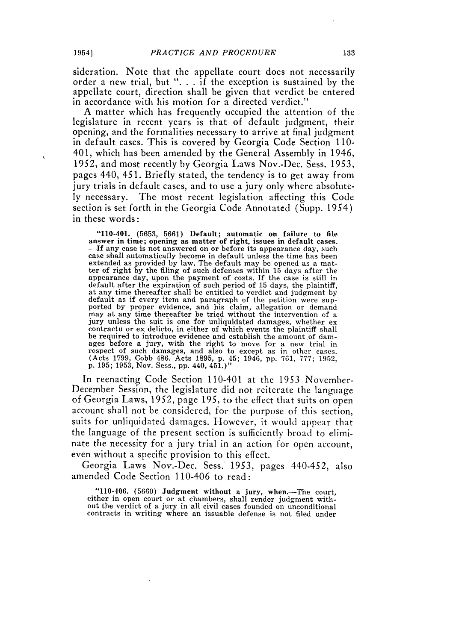sideration. Note that the appellate court does not necessarily order a new trial, but ". **.** . if the exception is sustained by the appellate court, direction shall be given that verdict be entered in accordance with his motion for a directed verdict."

A matter which has frequently occupied the attention of the legislature in recent years is that of default judgment, their opening, and the formalities necessary to arrive at final judgment in default cases. This is covered by Georgia Code Section 110- 401, which has been amended by the General Assembly in 1946, 1952, and most recently by Georgia Laws Nov.-Dec. Sess. 1953, pages 440, 451. Briefly stated, the tendency is to get away from jury trials in default cases, and to use a jury only where absolutely necessary. The most recent legislation affecting this Code section is set forth in the Georgia Code Annotated (Supp. 1954) in these words:

" $110-401$ . (5653, 5661) Default; automatic on failure to file<br>answer in time; opening as matter of right, issues in default cases.<br>--If any case is not answered on or before its appearance day, such<br>case shall automatica extended as provided by law. The default may be opened as a matter of right by the filing of such defenses within 15 days after the appearance day, upon the payment of costs. If the case is still in default after the expiration of such period of 15 days, the plaintiff, at any time thereafter shall be entitled to verdict and judgment by default as if every item and paragraph of the petition were supported by proper evidence, and his claim, allegation or demand may at any time thereafter be tried without the intervention of a jury unless the suit is one for unliquidated damages, whether ex contractu or ex delicto, in either of which events the plaintiff shall be required to introduce evidence and establish the amount of damages before a jury, with the right to move for a new trial in respect of such damages, and also to except as in other cases. (Acts 1799, Cobb 486. Acts 1895, p. 45; 1946, pp. 761, 777; 1952, p. 195; 1953, Nov. Sess., pp. 440, 451.)"

In reenacting Code Section 110-401 at the 1953 November-December Session, the legislature did not reiterate the language of Georgia Laws, 1952, page 195, to the effect that suits on open account shall not be considered, for the purpose of this section, suits for unliquidated damages. However, it would appear that the language of the present section is sufficiently broad to eliminate the necessity for a jury trial in an action for open account, even without a specific provision to this effect.

Georgia Laws Nov.-Dec. Sess. 1953, pages 440-452, also amended Code Section 110-406 to read:

"110-406. (5660) Judgment without a jury, when.-The court, either in open court or at chambers, shall render judgment without the verdict of a jury in all civil cases founded on unconditional contracts in writing where an issuable defense is not filed under